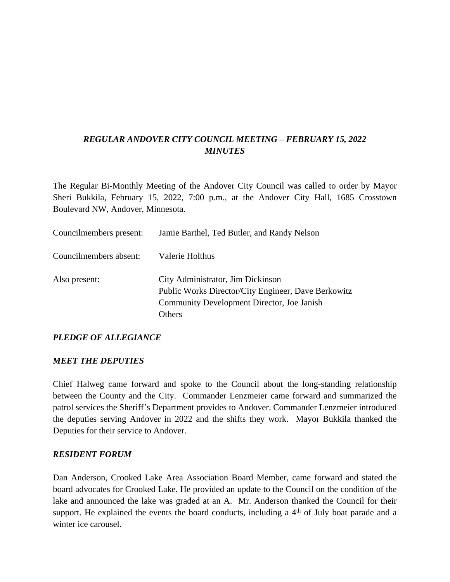## *REGULAR ANDOVER CITY COUNCIL MEETING – FEBRUARY 15, 2022 MINUTES*

The Regular Bi-Monthly Meeting of the Andover City Council was called to order by Mayor Sheri Bukkila, February 15, 2022, 7:00 p.m., at the Andover City Hall, 1685 Crosstown Boulevard NW, Andover, Minnesota.

| Councilmembers present: | Jamie Barthel, Ted Butler, and Randy Nelson                                                                                                      |
|-------------------------|--------------------------------------------------------------------------------------------------------------------------------------------------|
| Councilmembers absent:  | Valerie Holthus                                                                                                                                  |
| Also present:           | City Administrator, Jim Dickinson<br>Public Works Director/City Engineer, Dave Berkowitz<br>Community Development Director, Joe Janish<br>Others |

#### *PLEDGE OF ALLEGIANCE*

#### *MEET THE DEPUTIES*

Chief Halweg came forward and spoke to the Council about the long-standing relationship between the County and the City. Commander Lenzmeier came forward and summarized the patrol services the Sheriff's Department provides to Andover. Commander Lenzmeier introduced the deputies serving Andover in 2022 and the shifts they work. Mayor Bukkila thanked the Deputies for their service to Andover.

#### *RESIDENT FORUM*

Dan Anderson, Crooked Lake Area Association Board Member, came forward and stated the board advocates for Crooked Lake. He provided an update to the Council on the condition of the lake and announced the lake was graded at an A. Mr. Anderson thanked the Council for their support. He explained the events the board conducts, including a 4<sup>th</sup> of July boat parade and a winter ice carousel.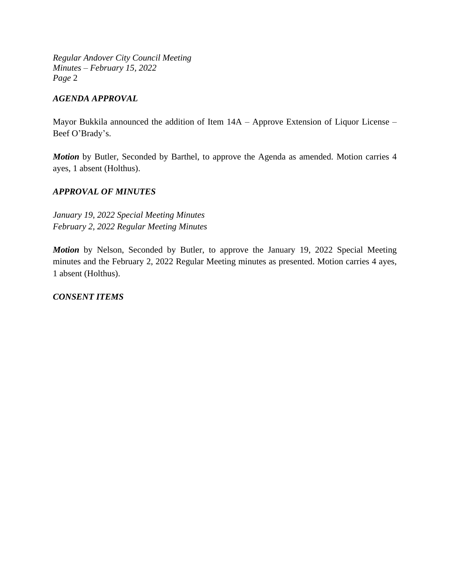### *AGENDA APPROVAL*

Mayor Bukkila announced the addition of Item 14A – Approve Extension of Liquor License – Beef O'Brady's.

*Motion* by Butler, Seconded by Barthel, to approve the Agenda as amended. Motion carries 4 ayes, 1 absent (Holthus).

### *APPROVAL OF MINUTES*

*January 19, 2022 Special Meeting Minutes February 2, 2022 Regular Meeting Minutes*

*Motion* by Nelson, Seconded by Butler, to approve the January 19, 2022 Special Meeting minutes and the February 2, 2022 Regular Meeting minutes as presented. Motion carries 4 ayes, 1 absent (Holthus).

#### *CONSENT ITEMS*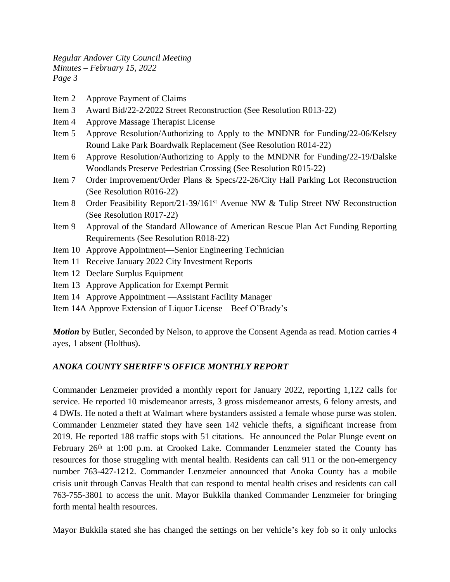- Item 2 Approve Payment of Claims
- Item 3 Award Bid/22-2/2022 Street Reconstruction (See Resolution R013-22)
- Item 4 Approve Massage Therapist License
- Item 5 Approve Resolution/Authorizing to Apply to the MNDNR for Funding/22-06/Kelsey Round Lake Park Boardwalk Replacement (See Resolution R014-22)
- Item 6 Approve Resolution/Authorizing to Apply to the MNDNR for Funding/22-19/Dalske Woodlands Preserve Pedestrian Crossing (See Resolution R015-22)
- Item 7 Order Improvement/Order Plans & Specs/22-26/City Hall Parking Lot Reconstruction (See Resolution R016-22)
- Item 8 Order Feasibility Report/21-39/161st Avenue NW & Tulip Street NW Reconstruction (See Resolution R017-22)
- Item 9 Approval of the Standard Allowance of American Rescue Plan Act Funding Reporting Requirements (See Resolution R018-22)
- Item 10 Approve Appointment—Senior Engineering Technician
- Item 11 Receive January 2022 City Investment Reports
- Item 12 Declare Surplus Equipment
- Item 13 Approve Application for Exempt Permit
- Item 14 Approve Appointment —Assistant Facility Manager
- Item 14A Approve Extension of Liquor License Beef O'Brady's

*Motion* by Butler, Seconded by Nelson, to approve the Consent Agenda as read. Motion carries 4 ayes, 1 absent (Holthus).

#### *ANOKA COUNTY SHERIFF'S OFFICE MONTHLY REPORT*

Commander Lenzmeier provided a monthly report for January 2022, reporting 1,122 calls for service. He reported 10 misdemeanor arrests, 3 gross misdemeanor arrests, 6 felony arrests, and 4 DWIs. He noted a theft at Walmart where bystanders assisted a female whose purse was stolen. Commander Lenzmeier stated they have seen 142 vehicle thefts, a significant increase from 2019. He reported 188 traffic stops with 51 citations. He announced the Polar Plunge event on February 26<sup>th</sup> at 1:00 p.m. at Crooked Lake. Commander Lenzmeier stated the County has resources for those struggling with mental health. Residents can call 911 or the non-emergency number 763-427-1212. Commander Lenzmeier announced that Anoka County has a mobile crisis unit through Canvas Health that can respond to mental health crises and residents can call 763-755-3801 to access the unit. Mayor Bukkila thanked Commander Lenzmeier for bringing forth mental health resources.

Mayor Bukkila stated she has changed the settings on her vehicle's key fob so it only unlocks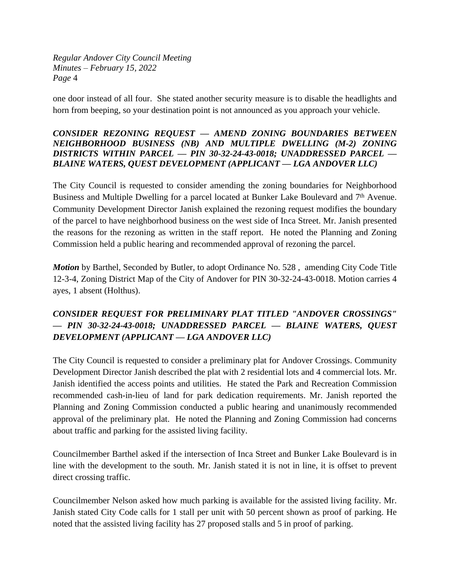one door instead of all four. She stated another security measure is to disable the headlights and horn from beeping, so your destination point is not announced as you approach your vehicle.

#### *CONSIDER REZONING REQUEST — AMEND ZONING BOUNDARIES BETWEEN NEIGHBORHOOD BUSINESS (NB) AND MULTIPLE DWELLING (M-2) ZONING DISTRICTS WITHIN PARCEL — PIN 30-32-24-43-0018; UNADDRESSED PARCEL — BLAINE WATERS, QUEST DEVELOPMENT (APPLICANT — LGA ANDOVER LLC)*

The City Council is requested to consider amending the zoning boundaries for Neighborhood Business and Multiple Dwelling for a parcel located at Bunker Lake Boulevard and 7<sup>th</sup> Avenue. Community Development Director Janish explained the rezoning request modifies the boundary of the parcel to have neighborhood business on the west side of Inca Street. Mr. Janish presented the reasons for the rezoning as written in the staff report. He noted the Planning and Zoning Commission held a public hearing and recommended approval of rezoning the parcel.

*Motion* by Barthel, Seconded by Butler, to adopt Ordinance No. 528, amending City Code Title 12-3-4, Zoning District Map of the City of Andover for PIN 30-32-24-43-0018. Motion carries 4 ayes, 1 absent (Holthus).

# *CONSIDER REQUEST FOR PRELIMINARY PLAT TITLED "ANDOVER CROSSINGS" — PIN 30-32-24-43-0018; UNADDRESSED PARCEL — BLAINE WATERS, QUEST DEVELOPMENT (APPLICANT — LGA ANDOVER LLC)*

The City Council is requested to consider a preliminary plat for Andover Crossings. Community Development Director Janish described the plat with 2 residential lots and 4 commercial lots. Mr. Janish identified the access points and utilities. He stated the Park and Recreation Commission recommended cash-in-lieu of land for park dedication requirements. Mr. Janish reported the Planning and Zoning Commission conducted a public hearing and unanimously recommended approval of the preliminary plat. He noted the Planning and Zoning Commission had concerns about traffic and parking for the assisted living facility.

Councilmember Barthel asked if the intersection of Inca Street and Bunker Lake Boulevard is in line with the development to the south. Mr. Janish stated it is not in line, it is offset to prevent direct crossing traffic.

Councilmember Nelson asked how much parking is available for the assisted living facility. Mr. Janish stated City Code calls for 1 stall per unit with 50 percent shown as proof of parking. He noted that the assisted living facility has 27 proposed stalls and 5 in proof of parking.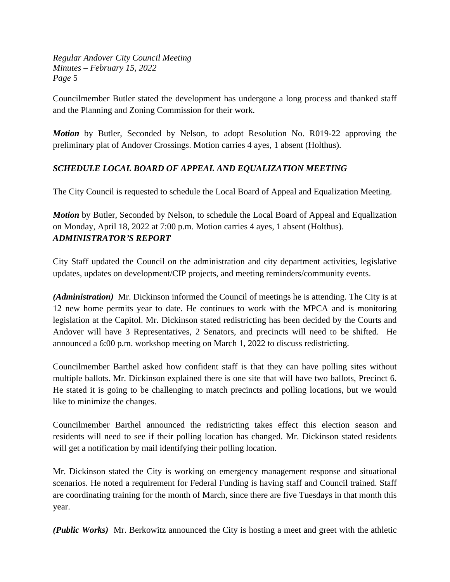Councilmember Butler stated the development has undergone a long process and thanked staff and the Planning and Zoning Commission for their work.

*Motion* by Butler, Seconded by Nelson, to adopt Resolution No. R019-22 approving the preliminary plat of Andover Crossings. Motion carries 4 ayes, 1 absent (Holthus).

## *SCHEDULE LOCAL BOARD OF APPEAL AND EQUALIZATION MEETING*

The City Council is requested to schedule the Local Board of Appeal and Equalization Meeting.

*Motion* by Butler, Seconded by Nelson, to schedule the Local Board of Appeal and Equalization on Monday, April 18, 2022 at 7:00 p.m. Motion carries 4 ayes, 1 absent (Holthus). *ADMINISTRATOR'S REPORT*

City Staff updated the Council on the administration and city department activities, legislative updates, updates on development/CIP projects, and meeting reminders/community events.

*(Administration)* Mr. Dickinson informed the Council of meetings he is attending. The City is at 12 new home permits year to date. He continues to work with the MPCA and is monitoring legislation at the Capitol. Mr. Dickinson stated redistricting has been decided by the Courts and Andover will have 3 Representatives, 2 Senators, and precincts will need to be shifted. He announced a 6:00 p.m. workshop meeting on March 1, 2022 to discuss redistricting.

Councilmember Barthel asked how confident staff is that they can have polling sites without multiple ballots. Mr. Dickinson explained there is one site that will have two ballots, Precinct 6. He stated it is going to be challenging to match precincts and polling locations, but we would like to minimize the changes.

Councilmember Barthel announced the redistricting takes effect this election season and residents will need to see if their polling location has changed. Mr. Dickinson stated residents will get a notification by mail identifying their polling location.

Mr. Dickinson stated the City is working on emergency management response and situational scenarios. He noted a requirement for Federal Funding is having staff and Council trained. Staff are coordinating training for the month of March, since there are five Tuesdays in that month this year.

*(Public Works)* Mr. Berkowitz announced the City is hosting a meet and greet with the athletic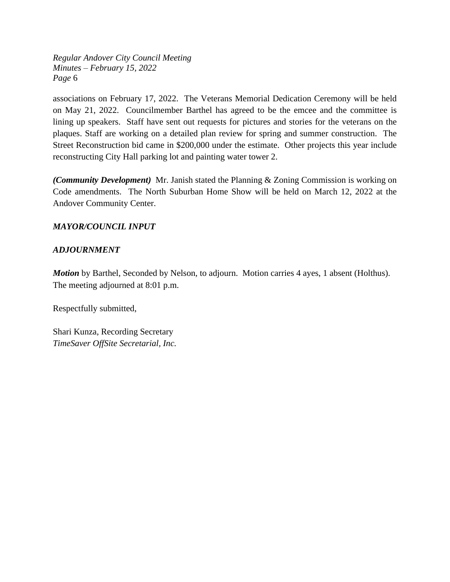associations on February 17, 2022. The Veterans Memorial Dedication Ceremony will be held on May 21, 2022. Councilmember Barthel has agreed to be the emcee and the committee is lining up speakers. Staff have sent out requests for pictures and stories for the veterans on the plaques. Staff are working on a detailed plan review for spring and summer construction. The Street Reconstruction bid came in \$200,000 under the estimate. Other projects this year include reconstructing City Hall parking lot and painting water tower 2.

*(Community Development)* Mr. Janish stated the Planning & Zoning Commission is working on Code amendments. The North Suburban Home Show will be held on March 12, 2022 at the Andover Community Center.

#### *MAYOR/COUNCIL INPUT*

#### *ADJOURNMENT*

*Motion* by Barthel, Seconded by Nelson, to adjourn. Motion carries 4 ayes, 1 absent (Holthus). The meeting adjourned at 8:01 p.m.

Respectfully submitted,

Shari Kunza, Recording Secretary *TimeSaver OffSite Secretarial, Inc.*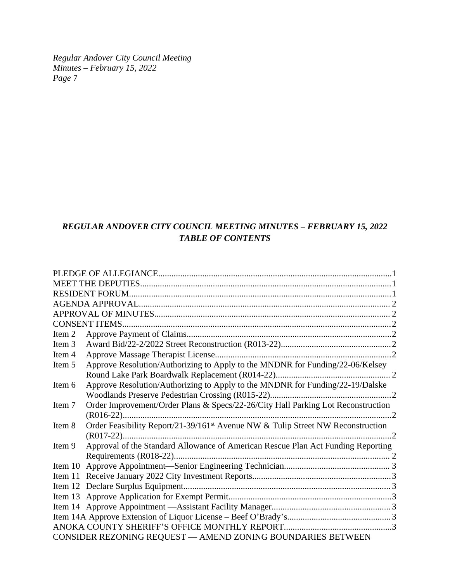# *REGULAR ANDOVER CITY COUNCIL MEETING MINUTES – FEBRUARY 15, 2022 TABLE OF CONTENTS*

|        | <b>CONSENT ITEMS.</b>                                                                       |  |
|--------|---------------------------------------------------------------------------------------------|--|
| Item 2 |                                                                                             |  |
| Item 3 |                                                                                             |  |
| Item 4 |                                                                                             |  |
| Item 5 | Approve Resolution/Authorizing to Apply to the MNDNR for Funding/22-06/Kelsey               |  |
|        |                                                                                             |  |
| Item 6 | Approve Resolution/Authorizing to Apply to the MNDNR for Funding/22-19/Dalske               |  |
|        |                                                                                             |  |
| Item 7 | Order Improvement/Order Plans & Specs/22-26/City Hall Parking Lot Reconstruction            |  |
|        | $\cdot$ 2                                                                                   |  |
| Item 8 | Order Feasibility Report/21-39/161 <sup>st</sup> Avenue NW & Tulip Street NW Reconstruction |  |
|        |                                                                                             |  |
| Item 9 | Approval of the Standard Allowance of American Rescue Plan Act Funding Reporting            |  |
|        |                                                                                             |  |
|        |                                                                                             |  |
|        |                                                                                             |  |
|        |                                                                                             |  |
|        |                                                                                             |  |
|        |                                                                                             |  |
|        |                                                                                             |  |
|        |                                                                                             |  |
|        | CONSIDER REZONING REQUEST - AMEND ZONING BOUNDARIES BETWEEN                                 |  |